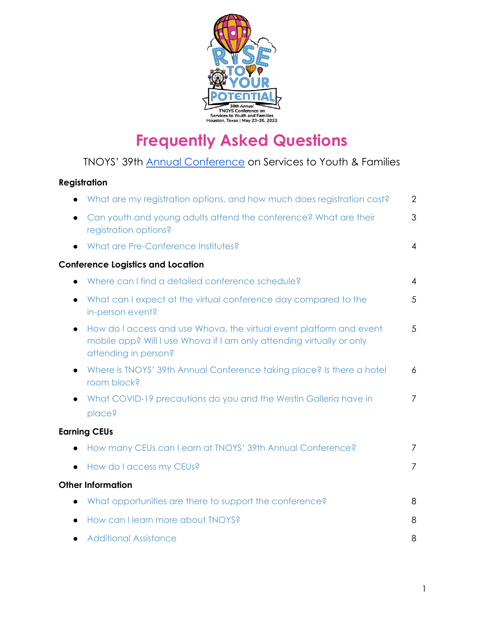

# **Frequently Asked Questions**

# TNOYS' 39th Annual [Conference](http://tnoys.org/2022-annual-conference/) on Services to Youth & Families

### **Registration**

|           | What are my registration options, and how much does registration cost?                                                                                               | $\overline{2}$ |  |  |  |  |  |
|-----------|----------------------------------------------------------------------------------------------------------------------------------------------------------------------|----------------|--|--|--|--|--|
|           | Can youth and young adults attend the conference? What are their<br>registration options?                                                                            | 3              |  |  |  |  |  |
|           | What are Pre-Conference Institutes?                                                                                                                                  | $\overline{4}$ |  |  |  |  |  |
|           | <b>Conference Logistics and Location</b>                                                                                                                             |                |  |  |  |  |  |
|           | Where can I find a detailed conference schedule?                                                                                                                     | $\overline{4}$ |  |  |  |  |  |
|           | What can I expect at the virtual conference day compared to the<br>in-person event?                                                                                  | 5              |  |  |  |  |  |
| $\bullet$ | How do I access and use Whova, the virtual event platform and event<br>mobile app? Will I use Whova if I am only attending virtually or only<br>attending in person? | 5              |  |  |  |  |  |
| $\bullet$ | Where is TNOYS' 39th Annual Conference taking place? Is there a hotel<br>room block?                                                                                 | $\overline{6}$ |  |  |  |  |  |
|           | What COVID-19 precautions do you and the Westin Galleria have in<br>place?                                                                                           | $\overline{7}$ |  |  |  |  |  |
|           | <b>Earning CEUs</b>                                                                                                                                                  |                |  |  |  |  |  |
|           | How many CEUs can I earn at TNOYS' 39th Annual Conference?                                                                                                           | $\overline{7}$ |  |  |  |  |  |
|           | How do I access my CEUs?                                                                                                                                             | $\overline{7}$ |  |  |  |  |  |
|           | <b>Other Information</b>                                                                                                                                             |                |  |  |  |  |  |
|           | What opportunities are there to support the conference?                                                                                                              | 8              |  |  |  |  |  |
|           | How can I learn more about TNOYS?                                                                                                                                    | 8              |  |  |  |  |  |
|           | <b>Additional Assistance</b>                                                                                                                                         | 8              |  |  |  |  |  |
|           |                                                                                                                                                                      |                |  |  |  |  |  |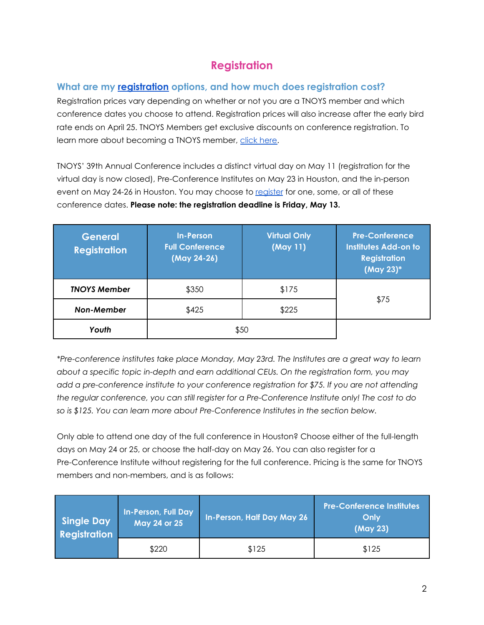## **Registration**

## <span id="page-1-0"></span>**What are my [registration](https://www.tfaforms.com/4950047) options, and how much does registration cost?**

Registration prices vary depending on whether or not you are a TNOYS member and which conference dates you choose to attend. Registration prices will also increase after the early bird rate ends on April 25. TNOYS Members get exclusive discounts on conference registration. To learn more about becoming a TNOYS member, click [here.](http://tnoys.org/become-a-member/)

TNOYS' 39th Annual Conference includes a distinct virtual day on May 11 (registration for the virtual day is now closed), Pre-Conference Institutes on May 23 in Houston, and the in-person event on May 24-26 in Houston. You may choose to [register](https://www.tfaforms.com/4950047) for one, some, or all of these conference dates. **Please note: the registration deadline is Friday, May 13.**

| <b>General</b><br><b>Registration</b> | <b>In-Person</b><br><b>Full Conference</b><br>(May 24-26) | <b>Virtual Only</b><br>(May 11) | <b>Pre-Conference</b><br><b>Institutes Add-on to</b><br><b>Registration</b><br>(May 23)* |  |
|---------------------------------------|-----------------------------------------------------------|---------------------------------|------------------------------------------------------------------------------------------|--|
| <b>TNOYS Member</b>                   | \$350                                                     | \$175                           | \$75                                                                                     |  |
| <b>Non-Member</b>                     | \$425                                                     | \$225                           |                                                                                          |  |
| Youth                                 | \$50                                                      |                                 |                                                                                          |  |

*\*Pre-conference institutes take place Monday, May 23rd. The Institutes are a great way to learn about a specific topic in-depth and earn additional CEUs. On the registration form, you may add a pre-conference institute to your conference registration for \$75. If you are not attending the regular conference, you can still register for a Pre-Conference Institute only! The cost to do so is \$125. You can learn more about Pre-Conference Institutes in the section below.*

Only able to attend one day of the full conference in Houston? Choose either of the full-length days on May 24 or 25, or choose the half-day on May 26. You can also register for a Pre-Conference Institute without registering for the full conference. Pricing is the same for TNOYS members and non-members, and is as follows:

| Single Day<br><b>Registration</b> | In-Person, Full Day<br>May 24 or 25 | In-Person, Half Day May 26 | <b>Pre-Conference Institutes</b><br>Only<br>(May 23) |
|-----------------------------------|-------------------------------------|----------------------------|------------------------------------------------------|
|                                   | \$220                               | \$125                      | \$125                                                |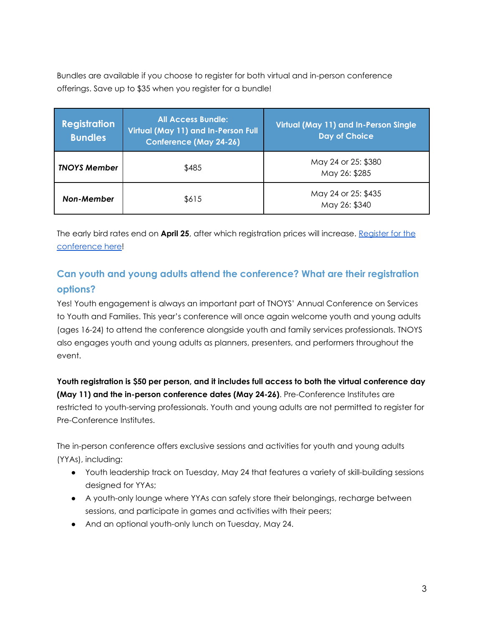Bundles are available if you choose to register for both virtual and in-person conference offerings. Save up to \$35 when you register for a bundle!

| <b>Registration</b><br><b>Bundles</b> | <b>All Access Bundle:</b><br>Virtual (May 11) and In-Person Full<br><b>Conference (May 24-26)</b> | Virtual (May 11) and In-Person Single<br><b>Day of Choice</b> |
|---------------------------------------|---------------------------------------------------------------------------------------------------|---------------------------------------------------------------|
| <b>TNOYS Member</b>                   | \$485                                                                                             | May 24 or 25: \$380<br>May 26: \$285                          |
| <b>Non-Member</b>                     | \$615                                                                                             | May 24 or 25: \$435<br>May 26: \$340                          |

The early bird rates end on **April 25**, after which registration prices will increase. [Register](http://tnoys.org/2022-annual-conference/registration-venue/) for the [conference](http://tnoys.org/2022-annual-conference/registration-venue/) here!

## <span id="page-2-0"></span>**Can youth and young adults attend the conference? What are their registration options?**

Yes! Youth engagement is always an important part of TNOYS' Annual Conference on Services to Youth and Families. This year's conference will once again welcome youth and young adults (ages 16-24) to attend the conference alongside youth and family services professionals. TNOYS also engages youth and young adults as planners, presenters, and performers throughout the event.

**Youth registration is \$50 per person, and it includes full access to both the virtual conference day (May 11) and the in-person conference dates (May 24-26)**. Pre-Conference Institutes are restricted to youth-serving professionals. Youth and young adults are not permitted to register for Pre-Conference Institutes.

The in-person conference offers exclusive sessions and activities for youth and young adults (YYAs), including:

- Youth leadership track on Tuesday, May 24 that features a variety of skill-building sessions designed for YYAs;
- A youth-only lounge where YYAs can safely store their belongings, recharge between sessions, and participate in games and activities with their peers;
- And an optional youth-only lunch on Tuesday, May 24.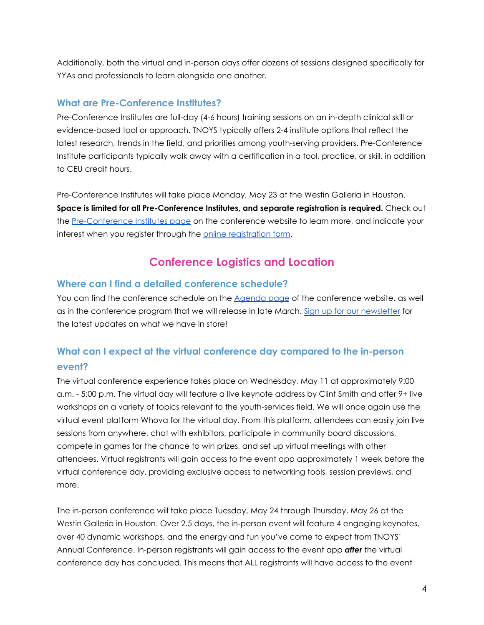Additionally, both the virtual and in-person days offer dozens of sessions designed specifically for YYAs and professionals to learn alongside one another.

#### <span id="page-3-0"></span>**What are Pre-Conference Institutes?**

Pre-Conference Institutes are full-day (4-6 hours) training sessions on an in-depth clinical skill or evidence-based tool or approach. TNOYS typically offers 2-4 institute options that reflect the latest research, trends in the field, and priorities among youth-serving providers. Pre-Conference Institute participants typically walk away with a certification in a tool, practice, or skill, in addition to CEU credit hours.

Pre-Conference Institutes will take place Monday, May 23 at the Westin Galleria in Houston. **Space is limited for all Pre-Conference Institutes, and separate registration is required.** Check out the [Pre-Conference](http://tnoys.org/2022-annual-conference/pre-conference-institutes/) Institutes page on the conference website to learn more, and indicate your interest when you register through the online [registration](https://www.tfaforms.com/4950047) form.

## **Conference Logistics and Location**

#### **Where can I find a detailed conference schedule?**

You can find the conference schedule on the [Agenda](http://tnoys.org/2022-annual-conference/agenda-featured-speakers/) page of the conference website, as well as in the conference program that we will release in late March. Sign up for our [newsletter](http://tnoys.org/subscribe/) for the latest updates on what we have in store!

## <span id="page-3-1"></span>**What can I expect at the virtual conference day compared to the in-person event?**

The virtual conference experience takes place on Wednesday, May 11 at approximately 9:00 a.m. - 5:00 p.m. The virtual day will feature a live keynote address by Clint Smith and offer 9+ live workshops on a variety of topics relevant to the youth-services field. We will once again use the virtual event platform Whova for the virtual day. From this platform, attendees can easily join live sessions from anywhere, chat with exhibitors, participate in community board discussions, compete in games for the chance to win prizes, and set up virtual meetings with other attendees. Virtual registrants will gain access to the event app approximately 1 week before the virtual conference day, providing exclusive access to networking tools, session previews, and more.

The in-person conference will take place Tuesday, May 24 through Thursday, May 26 at the Westin Galleria in Houston. Over 2.5 days, the in-person event will feature 4 engaging keynotes, over 40 dynamic workshops, and the energy and fun you've come to expect from TNOYS' Annual Conference. In-person registrants will gain access to the event app *after* the virtual conference day has concluded. This means that ALL registrants will have access to the event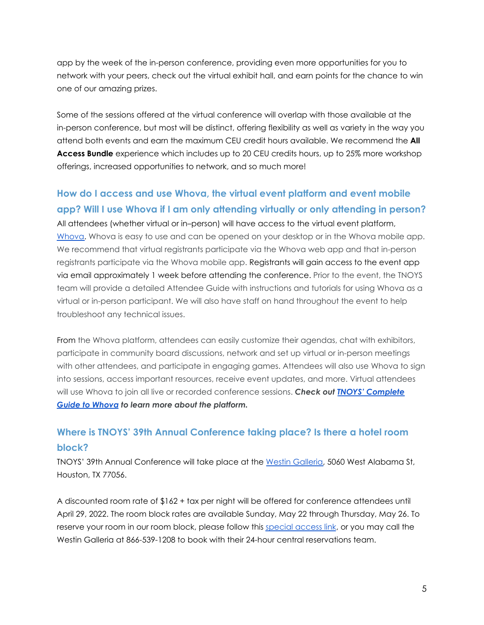app by the week of the in-person conference, providing even more opportunities for you to network with your peers, check out the virtual exhibit hall, and earn points for the chance to win one of our amazing prizes.

Some of the sessions offered at the virtual conference will overlap with those available at the in-person conference, but most will be distinct, offering flexibility as well as variety in the way you attend both events and earn the maximum CEU credit hours available. We recommend the **All Access Bundle** experience which includes up to 20 CEU credits hours, up to 25% more workshop offerings, increased opportunities to network, and so much more!

## **How do I access and use Whova, the virtual event platform and event mobile app? Will I use Whova if I am only attending virtually or only attending in person?**

All attendees (whether virtual or in–person) will have access to the virtual event platform, [Whova.](https://whova.com/portal/webapp/tac_202205/sign_up) Whova is easy to use and can be opened on your desktop or in the Whova mobile app. We recommend that virtual registrants participate via the Whova web app and that in-person registrants participate via the Whova mobile app. Registrants will gain access to the event app via email approximately 1 week before attending the conference. Prior to the event, the TNOYS team will provide a detailed Attendee Guide with instructions and tutorials for using Whova as a virtual or in-person participant. We will also have staff on hand throughout the event to help troubleshoot any technical issues.

From the Whova platform, attendees can easily customize their agendas, chat with exhibitors, participate in community board discussions, network and set up virtual or in-person meetings with other attendees, and participate in engaging games. Attendees will also use Whova to sign into sessions, access important resources, receive event updates, and more. Virtual attendees will use Whova to join all live or recorded conference sessions. *Check out TNOYS' [Complete](https://docs.google.com/document/d/1JnWVkrjH-mNjcAz_hKt6mS5cv41zSQ57MILFhlKgqbM/edit?usp=sharing) Guide to [Whova](https://docs.google.com/document/d/1JnWVkrjH-mNjcAz_hKt6mS5cv41zSQ57MILFhlKgqbM/edit?usp=sharing) to learn more about the platform.*

## <span id="page-4-0"></span>**Where is TNOYS' 39th Annual Conference taking place? Is there a hotel room block?**

TNOYS' 39th Annual Conference will take place at the Westin [Galleria,](https://www.marriott.com/en-us/hotels/hougw-the-westin-galleria-houston/overview/) 5060 West Alabama St, Houston, TX 77056.

A discounted room rate of \$162 + tax per night will be offered for conference attendees until April 29, 2022. The room block rates are available Sunday, May 22 through Thursday, May 26. To reserve your room in our room block, please follow this [special](https://www.marriott.com/events/start.mi?id=1643399040669&key=GRP) access link, or you may call the Westin Galleria at 866-539-1208 to book with their 24-hour central reservations team.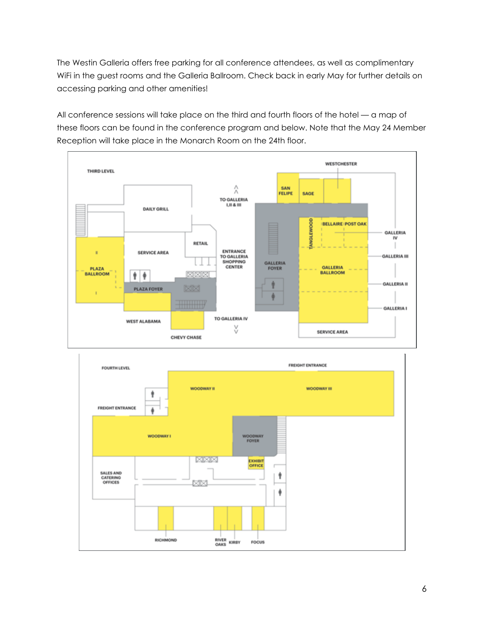The Westin Galleria offers free parking for all conference attendees, as well as complimentary WiFi in the guest rooms and the Galleria Ballroom. Check back in early May for further details on accessing parking and other amenities!

All conference sessions will take place on the third and fourth floors of the hotel — a map of these floors can be found in the conference program and below. Note that the May 24 Member Reception will take place in the Monarch Room on the 24th floor.



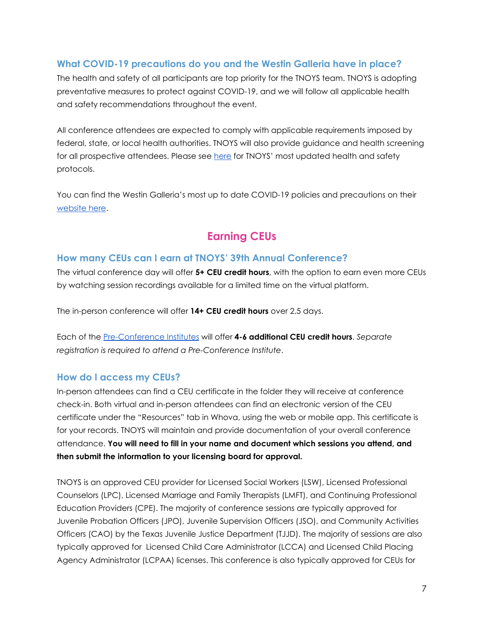## <span id="page-6-0"></span>**What COVID-19 precautions do you and the Westin Galleria have in place?**

The health and safety of all participants are top priority for the TNOYS team. TNOYS is adopting preventative measures to protect against COVID-19, and we will follow all applicable health and safety recommendations throughout the event.

All conference attendees are expected to comply with applicable requirements imposed by federal, state, or local health authorities. TNOYS will also provide guidance and health screening for all prospective attendees. Please see [here](https://tnoys.org/wp-content/uploads/Annual-Conference-COVID-Statement-FINAL.pdf) for TNOYS' most updated health and safety protocols.

You can find the Westin Galleria's most up to date COVID-19 policies and precautions on their [website](https://whattoexpect.marriott.com/hougw) here.

## **Earning CEUs**

#### **How many CEUs can I earn at TNOYS' 39th Annual Conference?**

The virtual conference day will offer **5+ CEU credit hours**, with the option to earn even more CEUs by watching session recordings available for a limited time on the virtual platform.

The in-person conference will offer **14+ CEU credit hours** over 2.5 days.

Each of the [Pre-Conference](http://tnoys.org/2022-annual-conference/pre-conference-institutes/) Institutes will offer **4-6 additional CEU credit hours**. *Separate registration is required to attend a Pre-Conference Institute*.

#### **How do I access my CEUs?**

In-person attendees can find a CEU certificate in the folder they will receive at conference check-in. Both virtual and in-person attendees can find an electronic version of the CEU certificate under the "Resources" tab in Whova, using the web or mobile app. This certificate is for your records. TNOYS will maintain and provide documentation of your overall conference attendance. **You will need to fill in your name and document which sessions you attend, and then submit the information to your licensing board for approval.**

TNOYS is an approved CEU provider for Licensed Social Workers (LSW), Licensed Professional Counselors (LPC), Licensed Marriage and Family Therapists (LMFT), and Continuing Professional Education Providers (CPE). The majority of conference sessions are typically approved for Juvenile Probation Officers (JPO), Juvenile Supervision Officers (JSO), and Community Activities Officers (CAO) by the Texas Juvenile Justice Department (TJJD). The majority of sessions are also typically approved for Licensed Child Care Administrator (LCCA) and Licensed Child Placing Agency Administrator (LCPAA) licenses. This conference is also typically approved for CEUs for